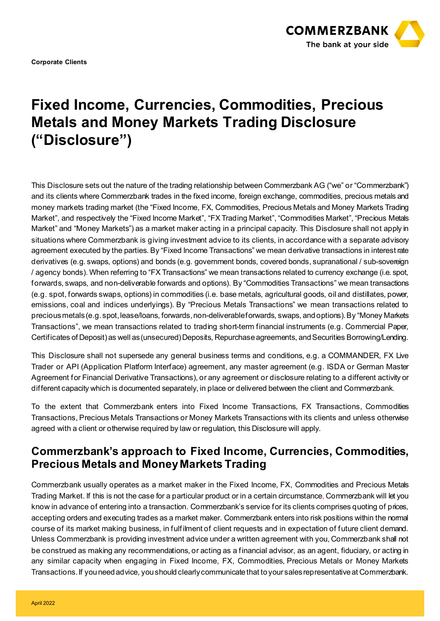

**Corporate Clients** 

# **Fixed Income, Currencies, Commodities, Precious Metals and Money Markets Trading Disclosure ("Disclosure")**

This Disclosure sets out the nature of the trading relationship between Commerzbank AG ("we" or "Commerzbank") and its clients where Commerzbank trades in the fixed income, foreign exchange, commodities, precious metals and money markets trading market (the "Fixed Income, FX, Commodities, Precious Metals and Money Markets Trading Market", and respectively the "Fixed Income Market", "FX Trading Market", "Commodities Market", "Precious Metals Market" and "Money Markets") as a market maker acting in a principal capacity. This Disclosure shall not apply in situations where Commerzbank is giving investment advice to its clients, in accordance with a separate advisory agreement executed by the parties. By "Fixed Income Transactions" we mean derivative transactions in interest rate derivatives (e.g. swaps, options) and bonds (e.g. government bonds, covered bonds, supranational / sub-sovereign / agency bonds). When referring to "FX Transactions" we mean transactions related to currency exchange (i.e. spot, forwards, swaps, and non-deliverable forwards and options). By "Commodities Transactions" we mean transactions (e.g. spot, forwards swaps, options) in commodities (i.e. base metals, agricultural goods, oil and distillates, power, emissions, coal and indices underlyings). By "Precious Metals Transactions" we mean transactions related to precious metals (e.g.spot, lease/loans, forwards, non-deliverable forwards, swaps, and options). By "Money Markets Transactions", we mean transactions related to trading short-term financial instruments (e.g. Commercial Paper, Certificates of Deposit) as well as (unsecured) Deposits, Repurchase agreements, and Securities Borrowing/Lending.

This Disclosure shall not supersede any general business terms and conditions, e.g. a COMMANDER, FX Live Trader or API (Application Platform Interface) agreement, any master agreement (e.g. ISDA or German Master Agreement for Financial Derivative Transactions), or any agreement or disclosure relating to a different activity or different capacity which is documented separately, in place or delivered between the client and Commerzbank.

To the extent that Commerzbank enters into Fixed Income Transactions, FX Transactions, Commodities Transactions, Precious Metals Transactions or Money Markets Transactions with its clients and unless otherwise agreed with a client or otherwise required by law or regulation, this Disclosure will apply.

#### **Commerzbank's approach to Fixed Income, Currencies, Commodities, Precious Metals and Money Markets Trading**

Commerzbank usually operates as a market maker in the Fixed Income, FX, Commodities and Precious Metals Trading Market. If this is not the case for a particular product or in a certain circumstance, Commerzbank will let you know in advance of entering into a transaction. Commerzbank's service for its clients comprises quoting of prices, accepting orders and executing trades as a market maker. Commerzbank enters into risk positions within the normal course of its market making business, in fulfilment of client requests and in expectation of future client demand. Unless Commerzbank is providing investment advice under a written agreement with you, Commerzbank shall not be construed as making any recommendations, or acting as a financial advisor, as an agent, fiduciary, or acting in any similar capacity when engaging in Fixed Income, FX, Commodities, Precious Metals or Money Markets Transactions. If you need advice, you should clearly communicate that to your sales representative at Commerzbank.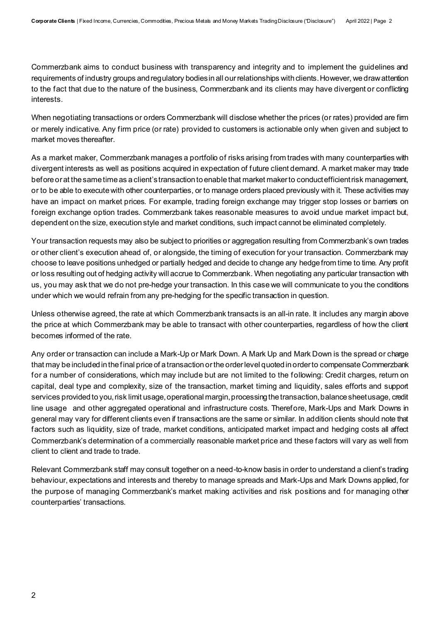Commerzbank aims to conduct business with transparency and integrity and to implement the guidelines and requirements of industry groups and regulatory bodies in all our relationships with clients. However, we draw attention to the fact that due to the nature of the business, Commerzbank and its clients may have divergent or conflicting interests.

When negotiating transactions or orders Commerzbank will disclose whether the prices (or rates) provided are firm or merely indicative. Any firm price (or rate) provided to customers is actionable only when given and subject to market moves thereafter.

As a market maker, Commerzbank manages a portfolio of risks arising from trades with many counterparties with divergent interests as well as positions acquired in expectation of future client demand. A market maker may trade before or at the same time as a client's transaction to enable that market maker to conductefficient risk management, or to be able to execute with other counterparties, or to manage orders placed previously with it. These activities may have an impact on market prices. For example, trading foreign exchange may trigger stop losses or barriers on foreign exchange option trades. Commerzbank takes reasonable measures to avoid undue market impact but, dependent on the size, execution style and market conditions, such impact cannot be eliminated completely.

Your transaction requests may also be subject to priorities or aggregation resulting from Commerzbank's own trades or other client's execution ahead of, or alongside, the timing of execution for your transaction. Commerzbank may choose to leave positions unhedged or partially hedged and decide to change any hedge from time to time. Any profit or loss resulting out of hedging activity will accrue to Commerzbank. When negotiating any particular transaction with us, you may ask that we do not pre-hedge your transaction. In this case we will communicate to you the conditions under which we would refrain from any pre-hedging for the specific transaction in question.

Unless otherwise agreed, the rate at which Commerzbank transacts is an all-in rate. It includes any margin above the price at which Commerzbank may be able to transact with other counterparties, regardless of how the client becomes informed of the rate.

Any order or transaction can include a Mark-Up or Mark Down. A Mark Up and Mark Down is the spread or charge that may be included in the final price of a transaction or the order level quoted in order to compensate Commerzbank for a number of considerations, which may include but are not limited to the following: Credit charges, return on capital, deal type and complexity, size of the transaction, market timing and liquidity, sales efforts and support services provided to you, risk limit usage, operational margin, processing the transaction, balance sheet usage, credit line usage and other aggregated operational and infrastructure costs. Therefore, Mark-Ups and Mark Downs in general may vary for different clients even if transactions are the same or similar. In addition clients should note that factors such as liquidity, size of trade, market conditions, anticipated market impact and hedging costs all affect Commerzbank's determination of a commercially reasonable market price and these factors will vary as well from client to client and trade to trade.

Relevant Commerzbank staff may consult together on a need-to-know basis in order to understand a client's trading behaviour, expectations and interests and thereby to manage spreads and Mark-Ups and Mark Downs applied, for the purpose of managing Commerzbank's market making activities and risk positions and for managing other counterparties' transactions.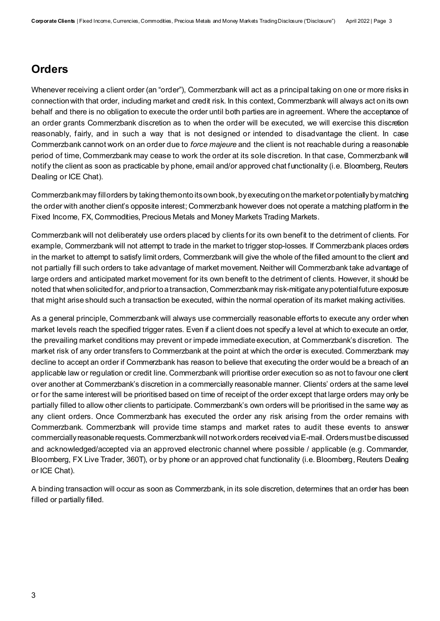## **Orders**

Whenever receiving a client order (an "order"), Commerzbank will act as a principal taking on one or more risks in connection with that order, including market and credit risk. In this context, Commerzbank will always act on its own behalf and there is no obligation to execute the order until both parties are in agreement. Where the acceptance of an order grants Commerzbank discretion as to when the order will be executed, we will exercise this discretion reasonably, fairly, and in such a way that is not designed or intended to disadvantage the client. In case Commerzbank cannot work on an order due to *force majeure* and the client is not reachable during a reasonable period of time, Commerzbank may cease to work the order at its sole discretion. In that case, Commerzbank will notify the client as soon as practicable by phone, email and/or approved chat functionality (i.e. Bloomberg, Reuters Dealing or ICE Chat).

Commerzbank may fill orders by taking them onto its own book, by executing on the market or potentially by matching the order with another client's opposite interest; Commerzbank however does not operate a matching platform in the Fixed Income, FX, Commodities, Precious Metals and Money Markets Trading Markets.

Commerzbank will not deliberately use orders placed by clients for its own benefit to the detriment of clients. For example, Commerzbank will not attempt to trade in the market to trigger stop-losses. If Commerzbank places orders in the market to attempt to satisfy limit orders, Commerzbank will give the whole of the filled amount to the client and not partially fill such orders to take advantage of market movement. Neither will Commerzbank take advantage of large orders and anticipated market movement for its own benefit to the detriment of clients. However, it should be noted that when solicited for, and prior to a transaction, Commerzbank may risk-mitigate any potential future exposure that might arise should such a transaction be executed, within the normal operation of its market making activities.

As a general principle, Commerzbank will always use commercially reasonable efforts to execute any order when market levels reach the specified trigger rates. Even if a client does not specify a level at which to execute an order, the prevailing market conditions may prevent or impede immediate execution, at Commerzbank's discretion. The market risk of any order transfers to Commerzbank at the point at which the order is executed. Commerzbank may decline to accept an order if Commerzbank has reason to believe that executing the order would be a breach of an applicable law or regulation or credit line. Commerzbank will prioritise order execution so as not to favour one client over another at Commerzbank's discretion in a commercially reasonable manner. Clients' orders at the same level or for the same interest will be prioritised based on time of receipt of the order except that large orders may only be partially filled to allow other clients to participate. Commerzbank's own orders will be prioritised in the same way as any client orders. Once Commerzbank has executed the order any risk arising from the order remains with Commerzbank. Commerzbank will provide time stamps and market rates to audit these events to answer commercially reasonable requests.Commerzbank will not work orders received via E-mail. Orders mustbe discussed and acknowledged/accepted via an approved electronic channel where possible / applicable (e.g. Commander, Bloomberg, FX Live Trader, 360T), or by phone or an approved chat functionality (i.e. Bloomberg, Reuters Dealing or ICE Chat).

A binding transaction will occur as soon as Commerzbank, in its sole discretion, determines that an order has been filled or partially filled.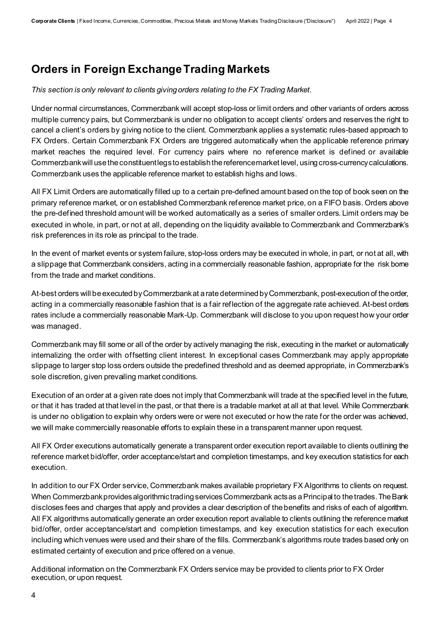#### **Orders in Foreign Exchange Trading Markets**

*This section is only relevant to clients giving orders relating to the FX Trading Market.*

Under normal circumstances, Commerzbank will accept stop-loss or limit orders and other variants of orders across multiple currency pairs, but Commerzbank is under no obligation to accept clients' orders and reserves the right to cancel a client's orders by giving notice to the client. Commerzbank applies a systematic rules-based approach to FX Orders. Certain Commerzbank FX Orders are triggered automatically when the applicable reference primary market reaches the required level. For currency pairs where no reference market is defined or available Commerzbank will use the constituent legs to establish the reference market level, using cross-currency calculations. Commerzbank uses the applicable reference market to establish highs and lows.

All FX Limit Orders are automatically filled up to a certain pre-defined amount based on the top of book seen on the primary reference market, or on established Commerzbank reference market price, on a FIFO basis. Orders above the pre-defined threshold amount will be worked automatically as a series of smaller orders. Limit orders may be executed in whole, in part, or not at all, depending on the liquidity available to Commerzbank and Commerzbank's risk preferences in its role as principal to the trade.

In the event of market events or system failure, stop-loss orders may be executed in whole, in part, or not at all, with a slippage that Commerzbank considers, acting in a commercially reasonable fashion, appropriate for the risk borne from the trade and market conditions.

At-best orders will be executed by Commerzbank at a rate determined by Commerzbank, post-execution of the order, acting in a commercially reasonable fashion that is a fair reflection of the aggregate rate achieved. At-best orders rates include a commercially reasonable Mark-Up. Commerzbank will disclose to you upon request how your order was managed.

Commerzbank may fill some or all of the order by actively managing the risk, executing in the market or automatically internalizing the order with offsetting client interest. In exceptional cases Commerzbank may apply appropriate slippage to larger stop loss orders outside the predefined threshold and as deemed appropriate, in Commerzbank's sole discretion, given prevailing market conditions.

Execution of an order at a given rate does not imply that Commerzbank will trade at the specified level in the future, or that it has traded at that level in the past, or that there is a tradable market at all at that level. While Commerzbank is under no obligation to explain why orders were or were not executed or how the rate for the order was achieved, we will make commercially reasonable efforts to explain these in a transparent manner upon request.

All FX Order executions automatically generate a transparent order execution report available to clients outlining the reference market bid/offer, order acceptance/start and completion timestamps, and key execution statistics for each execution.

In addition to our FX Order service, Commerzbank makes available proprietary FX Algorithms to clients on request. When Commerzbank provides algorithmic trading services Commerzbank acts as a Principal to the trades. The Bank discloses fees and charges that apply and provides a clear description of the benefits and risks of each of algorithm. All FX algorithms automatically generate an order execution report available to clients outlining the reference market bid/offer, order acceptance/start and completion timestamps, and key execution statistics for each execution including which venues were used and their share of the fills. Commerzbank's algorithms route trades based only on estimated certainty of execution and price offered on a venue.

Additional information on the Commerzbank FX Orders service may be provided to clients prior to FX Order execution, or upon request.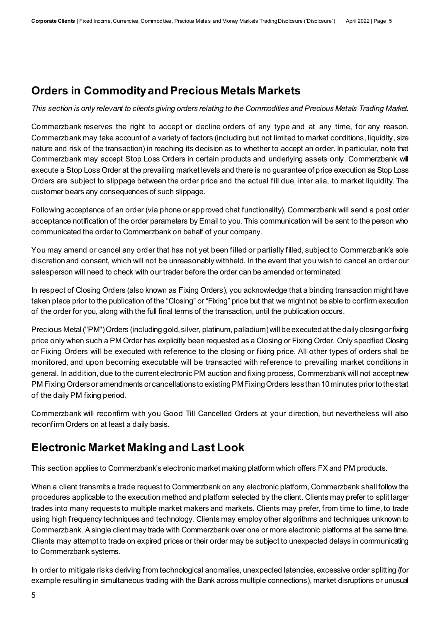## **Orders in Commodity and Precious Metals Markets**

*This section is only relevant to clients giving orders relating to the Commodities and Precious Metals Trading Market.*

Commerzbank reserves the right to accept or decline orders of any type and at any time, for any reason. Commerzbank may take account of a variety of factors (including but not limited to market conditions, liquidity, size nature and risk of the transaction) in reaching its decision as to whether to accept an order. In particular, note that Commerzbank may accept Stop Loss Orders in certain products and underlying assets only. Commerzbank will execute a Stop Loss Order at the prevailing market levels and there is no guarantee of price execution as Stop Loss Orders are subject to slippage between the order price and the actual fill due, inter alia, to market liquidity. The customer bears any consequences of such slippage.

Following acceptance of an order (via phone or approved chat functionality), Commerzbank will send a post order acceptance notification of the order parameters by Email to you. This communication will be sent to the person who communicated the order to Commerzbank on behalf of your company.

You may amend or cancel any order that has not yet been filled or partially filled, subject to Commerzbank's sole discretion and consent, which will not be unreasonably withheld. In the event that you wish to cancel an order our salesperson will need to check with our trader before the order can be amended or terminated.

In respect of Closing Orders (also known as Fixing Orders), you acknowledge that a binding transaction might have taken place prior to the publication of the "Closing" or "Fixing" price but that we might not be able to confirm execution of the order for you, along with the full final terms of the transaction, until the publication occurs.

Precious Metal ("PM") Orders (including gold, silver, platinum, palladium) will be executed at the daily closing or fixing price only when such a PM Order has explicitly been requested as a Closing or Fixing Order. Only specified Closing or Fixing Orders will be executed with reference to the closing or fixing price. All other types of orders shall be monitored, and upon becoming executable will be transacted with reference to prevailing market conditions in general. In addition, due to the current electronic PM auction and fixing process, Commerzbank will not accept new PM Fixing Orders or amendments or cancellations to existing PM Fixing Orders less than 10 minutes prior to the start of the daily PM fixing period.

Commerzbank will reconfirm with you Good Till Cancelled Orders at your direction, but nevertheless will also reconfirm Orders on at least a daily basis.

# **Electronic Market Making and Last Look**

This section applies to Commerzbank's electronic market making platform which offers FX and PM products.

When a client transmits a trade request to Commerzbank on any electronic platform, Commerzbank shall follow the procedures applicable to the execution method and platform selected by the client. Clients may prefer to split larger trades into many requests to multiple market makers and markets. Clients may prefer, from time to time, to trade using high frequency techniques and technology. Clients may employ other algorithms and techniques unknown to Commerzbank. A single client may trade with Commerzbank over one or more electronic platforms at the same time. Clients may attempt to trade on expired prices or their order may be subject to unexpected delays in communicating to Commerzbank systems.

In order to mitigate risks deriving from technological anomalies, unexpected latencies, excessive order splitting (for example resulting in simultaneous trading with the Bank across multiple connections), market disruptions or unusual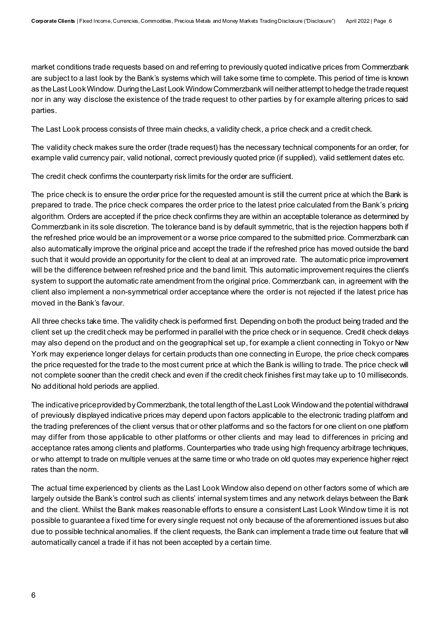market conditions trade requests based on and referring to previously quoted indicative prices from Commerzbank are subject to a last look by the Bank's systems which will take some time to complete. This period of time is known as the Last Look Window. During the Last Look Window Commerzbank will neither attempt to hedge the trade request nor in any way disclose the existence of the trade request to other parties by for example altering prices to said parties.

The Last Look process consists of three main checks, a validity check, a price check and a credit check.

The validity check makes sure the order (trade request) has the necessary technical components for an order, for example valid currency pair, valid notional, correct previously quoted price (if supplied), valid settlement dates etc.

The credit check confirms the counterparty risk limits for the order are sufficient.

The price check is to ensure the order price for the requested amount is still the current price at which the Bank is prepared to trade. The price check compares the order price to the latest price calculated from the Bank's pricing algorithm. Orders are accepted if the price check confirms they are within an acceptable tolerance as determined by Commerzbank in its sole discretion. The tolerance band is by default symmetric, that is the rejection happens both if the refreshed price would be an improvement or a worse price compared to the submitted price. Commerzbank can also automatically improve the original price and accept the trade if the refreshed price has moved outside the band such that it would provide an opportunity for the client to deal at an improved rate. The automatic price improvement will be the difference between refreshed price and the band limit. This automatic improvement requires the client's system to support the automatic rate amendment from the original price. Commerzbank can, in agreement with the client also implement a non-symmetrical order acceptance where the order is not rejected if the latest price has moved in the Bank's favour.

All three checks take time. The validity check is performed first. Depending on both the product being traded and the client set up the credit check may be performed in parallel with the price check or in sequence. Credit check delays may also depend on the product and on the geographical set up, for example a client connecting in Tokyo or New York may experience longer delays for certain products than one connecting in Europe, the price check compares the price requested for the trade to the most current price at which the Bank is willing to trade. The price check will not complete sooner than the credit check and even if the credit check finishes first may take up to 10 milliseconds. No additional hold periods are applied.

The indicative price provided by Commerzbank, the total length of the Last Look Windowand the potential withdrawal of previously displayed indicative prices may depend upon factors applicable to the electronic trading platform and the trading preferences of the client versus that or other platforms and so the factors for one client on one platform may differ from those applicable to other platforms or other clients and may lead to differences in pricing and acceptance rates among clients and platforms. Counterparties who trade using high frequency arbitrage techniques, or who attempt to trade on multiple venues at the same time or who trade on old quotes may experience higher reject rates than the norm.

The actual time experienced by clients as the Last Look Window also depend on other factors some of which are largely outside the Bank's control such as clients' internal system times and any network delays between the Bank and the client. Whilst the Bank makes reasonable efforts to ensure a consistent Last Look Window time it is not possible to guarantee a fixed time for every single request not only because of the aforementioned issues but also due to possible technical anomalies. If the client requests, the Bank can implement a trade time out feature that will automatically cancel a trade if it has not been accepted by a certain time.